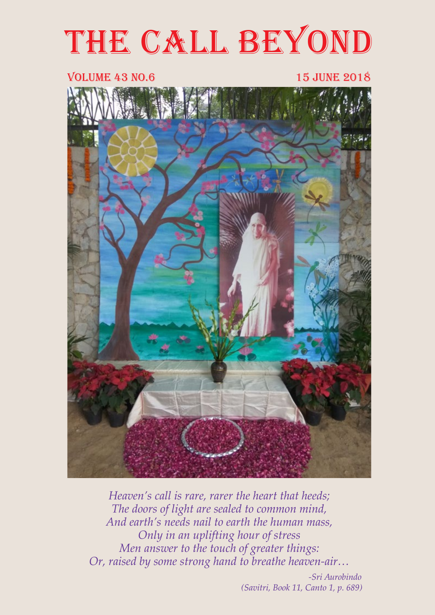# THE CALL BEYOND

#### VOLUME 43 NO.6 15 june 2018



*Heaven's call is rare, rarer the heart that heeds; The doors of light are sealed to common mind, And earth's needs nail to earth the human mass, Only in an uplifting hour of stress Men answer to the touch of greater things: Or, raised by some strong hand to breathe heaven-air…* 

> *-Sri Aurobindo (Savitri, Book 11, Canto 1, p. 689)*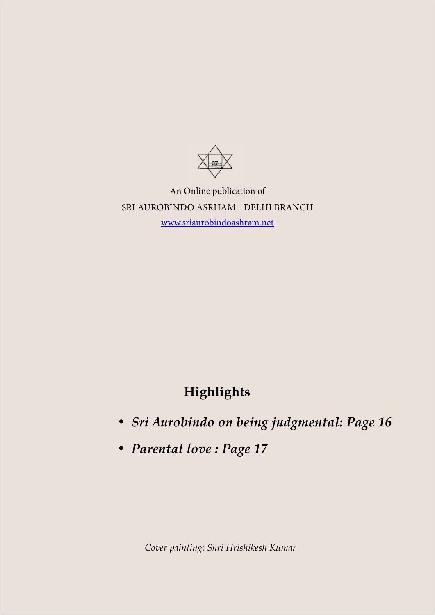

An Online publication of SRI AUROBINDO ASRHAM - DELHI BRANCH [www.sriaurobindoashram.net](http://www.sriaurobindoashram.net)

# **Highlights**

- *• Sri Aurobindo on being judgmental: Page 16*
- *• Parental love : Page 17*

*Cover painting: Shri Hrishikesh Kumar*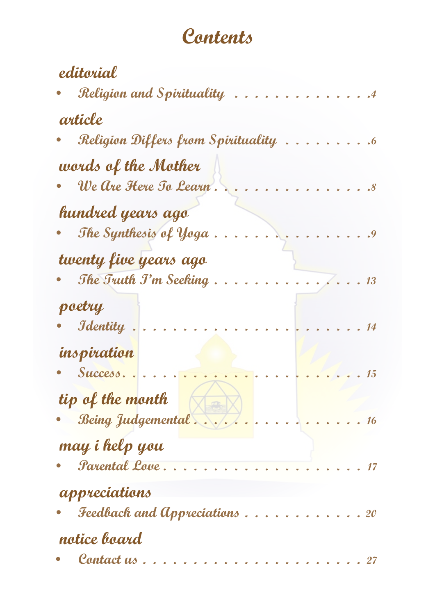# Contents

| editorial                                     |
|-----------------------------------------------|
| Religion and Spirituality                     |
| article                                       |
| Religion Differs from Spirituality            |
| words of the Mother<br>We Are Here To Learn . |
|                                               |
| hundred years ago                             |
| The Synthesis of Yoga                         |
| twenty five years ago                         |
| The Truth J'm Seeking.<br>13                  |
| poetry                                        |
| <b>J</b> dentity                              |
| inspiration                                   |
| Success.<br>tip of the month                  |
| Being Judgemental<br>16                       |
| may i help you                                |
| Parental Love                                 |
| appreciations                                 |
| Feedback and Appreciations.<br><b>20</b>      |
| notice board                                  |
| Contact us                                    |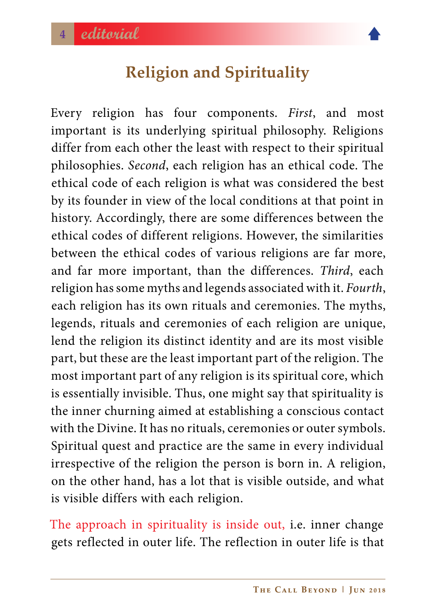

# **Religion and Spirituality**

<span id="page-3-0"></span>Every religion has four components. *First*, and most important is its underlying spiritual philosophy. Religions differ from each other the least with respect to their spiritual philosophies. *Second*, each religion has an ethical code. The ethical code of each religion is what was considered the best by its founder in view of the local conditions at that point in history. Accordingly, there are some differences between the ethical codes of different religions. However, the similarities between the ethical codes of various religions are far more, and far more important, than the differences. *Third*, each religion has some myths and legends associated with it. *Fourth*, each religion has its own rituals and ceremonies. The myths, legends, rituals and ceremonies of each religion are unique, lend the religion its distinct identity and are its most visible part, but these are the least important part of the religion. The most important part of any religion is its spiritual core, which is essentially invisible. Thus, one might say that spirituality is the inner churning aimed at establishing a conscious contact with the Divine. It has no rituals, ceremonies or outer symbols. Spiritual quest and practice are the same in every individual irrespective of the religion the person is born in. A religion, on the other hand, has a lot that is visible outside, and what is visible differs with each religion.

The approach in spirituality is inside out, i.e. inner change gets reflected in outer life. The reflection in outer life is that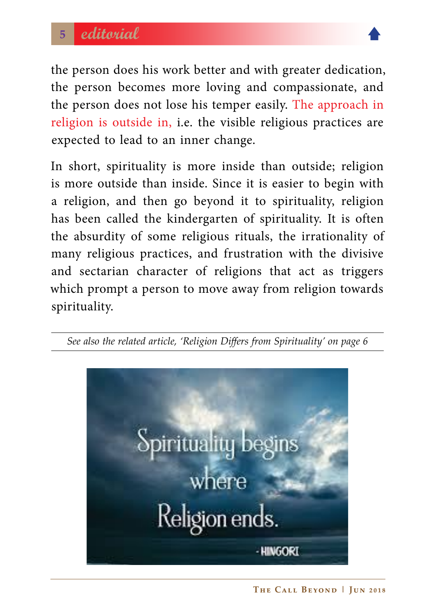

the person does his work better and with greater dedication, the person becomes more loving and compassionate, and the person does not lose his temper easily. The approach in religion is outside in, i.e. the visible religious practices are expected to lead to an inner change.

In short, spirituality is more inside than outside; religion is more outside than inside. Since it is easier to begin with a religion, and then go beyond it to spirituality, religion has been called the kindergarten of spirituality. It is often the absurdity of some religious rituals, the irrationality of many religious practices, and frustration with the divisive and sectarian character of religions that act as triggers which prompt a person to move away from religion towards spirituality.



*See also the related article, 'Religion Differs from Spirituality' on page 6*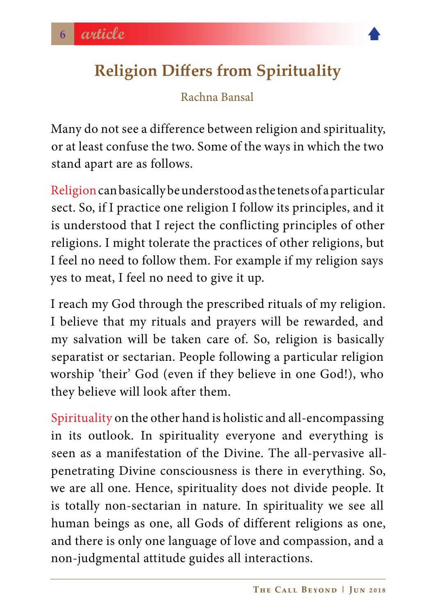<span id="page-5-0"></span>

#### Rachna Bansal

Many do not see a difference between religion and spirituality, or at least confuse the two. Some of the ways in which the two stand apart are as follows.

Religion can basically be understood as the tenets of a particular sect. So, if I practice one religion I follow its principles, and it is understood that I reject the conflicting principles of other religions. I might tolerate the practices of other religions, but I feel no need to follow them. For example if my religion says yes to meat, I feel no need to give it up.

I reach my God through the prescribed rituals of my religion. I believe that my rituals and prayers will be rewarded, and my salvation will be taken care of. So, religion is basically separatist or sectarian. People following a particular religion worship 'their' God (even if they believe in one God!), who they believe will look after them.

Spirituality on the other hand is holistic and all-encompassing in its outlook. In spirituality everyone and everything is seen as a manifestation of the Divine. The all-pervasive allpenetrating Divine consciousness is there in everything. So, we are all one. Hence, spirituality does not divide people. It is totally non-sectarian in nature. In spirituality we see all human beings as one, all Gods of different religions as one, and there is only one language of love and compassion, and a non-judgmental attitude guides all interactions.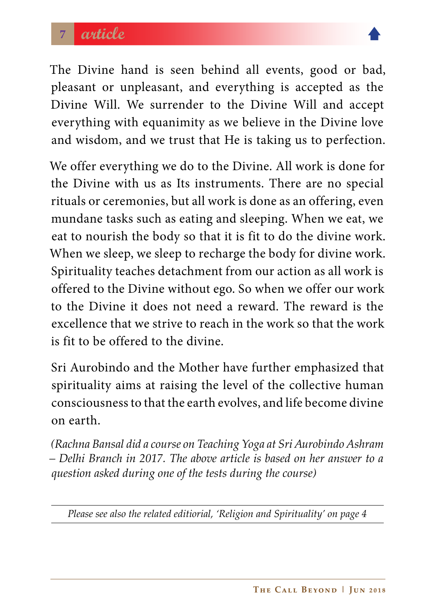

The Divine hand is seen behind all events, good or bad, pleasant or unpleasant, and everything is accepted as the Divine Will. We surrender to the Divine Will and accept everything with equanimity as we believe in the Divine love and wisdom, and we trust that He is taking us to perfection.

We offer everything we do to the Divine. All work is done for the Divine with us as Its instruments. There are no special rituals or ceremonies, but all work is done as an offering, even mundane tasks such as eating and sleeping. When we eat, we eat to nourish the body so that it is fit to do the divine work. When we sleep, we sleep to recharge the body for divine work. Spirituality teaches detachment from our action as all work is offered to the Divine without ego. So when we offer our work to the Divine it does not need a reward. The reward is the excellence that we strive to reach in the work so that the work is fit to be offered to the divine.

Sri Aurobindo and the Mother have further emphasized that spirituality aims at raising the level of the collective human consciousness to that the earth evolves, and life become divine on earth.

*(Rachna Bansal did a course on Teaching Yoga at Sri Aurobindo Ashram – Delhi Branch in 2017. The above article is based on her answer to a question asked during one of the tests during the course)* 

*Please see also the related editiorial, 'Religion and Spirituality' on page 4*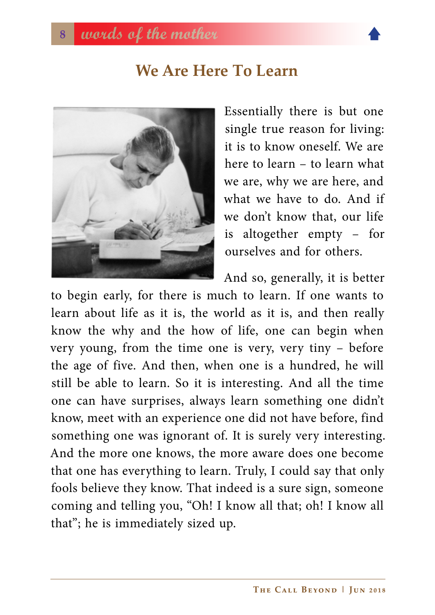# **We Are Here To Learn**

<span id="page-7-0"></span>

Essentially there is but one single true reason for living: it is to know oneself. We are here to learn – to learn what we are, why we are here, and what we have to do. And if we don't know that, our life is altogether empty – for ourselves and for others.

And so, generally, it is better

to begin early, for there is much to learn. If one wants to learn about life as it is, the world as it is, and then really know the why and the how of life, one can begin when very young, from the time one is very, very tiny – before the age of five. And then, when one is a hundred, he will still be able to learn. So it is interesting. And all the time one can have surprises, always learn something one didn't know, meet with an experience one did not have before, find something one was ignorant of. It is surely very interesting. And the more one knows, the more aware does one become that one has everything to learn. Truly, I could say that only fools believe they know. That indeed is a sure sign, someone coming and telling you, "Oh! I know all that; oh! I know all that"; he is immediately sized up.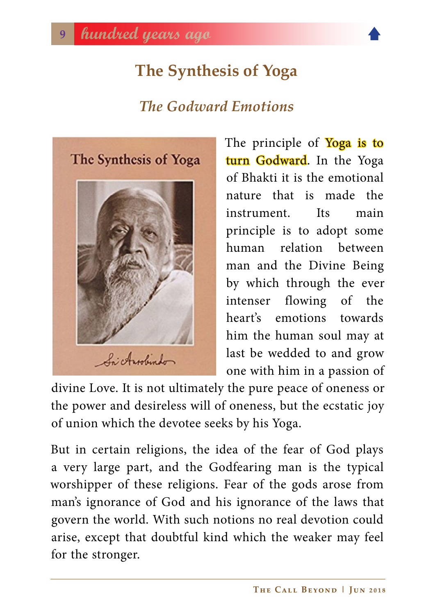# **The Synthesis of Yoga**

# *The Godward Emotions*

<span id="page-8-0"></span>

The principle of **Yoga is to** turn Godward. In the Yoga of Bhakti it is the emotional nature that is made the instrument Its main principle is to adopt some human relation between man and the Divine Being by which through the ever intenser flowing of the heart's emotions towards him the human soul may at last be wedded to and grow one with him in a passion of

divine Love. It is not ultimately the pure peace of oneness or the power and desireless will of oneness, but the ecstatic joy of union which the devotee seeks by his Yoga.

But in certain religions, the idea of the fear of God plays a very large part, and the Godfearing man is the typical worshipper of these religions. Fear of the gods arose from man's ignorance of God and his ignorance of the laws that govern the world. With such notions no real devotion could arise, except that doubtful kind which the weaker may feel for the stronger.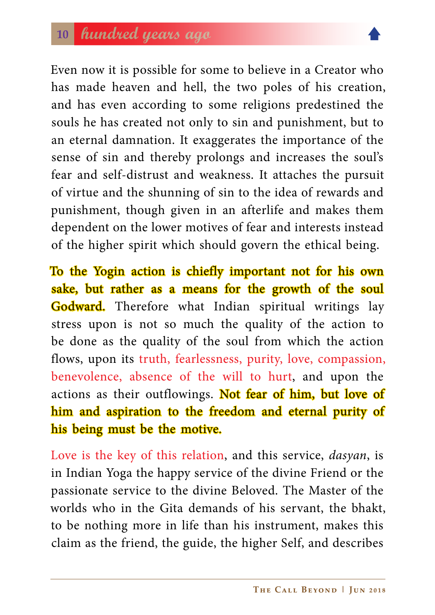

Even now it is possible for some to believe in a Creator who has made heaven and hell, the two poles of his creation, and has even according to some religions predestined the souls he has created not only to sin and punishment, but to an eternal damnation. It exaggerates the importance of the sense of sin and thereby prolongs and increases the soul's fear and self-distrust and weakness. It attaches the pursuit of virtue and the shunning of sin to the idea of rewards and punishment, though given in an afterlife and makes them dependent on the lower motives of fear and interests instead of the higher spirit which should govern the ethical being.

To the Yogin action is chiefly important not for his own sake, but rather as a means for the growth of the soul Godward. Therefore what Indian spiritual writings lay stress upon is not so much the quality of the action to be done as the quality of the soul from which the action flows, upon its truth, fearlessness, purity, love, compassion, benevolence, absence of the will to hurt, and upon the actions as their outflowings. Not fear of him, but love of him and aspiration to the freedom and eternal purity of his being must be the motive.

Love is the key of this relation, and this service, *dasyan*, is in Indian Yoga the happy service of the divine Friend or the passionate service to the divine Beloved. The Master of the worlds who in the Gita demands of his servant, the bhakt, to be nothing more in life than his instrument, makes this claim as the friend, the guide, the higher Self, and describes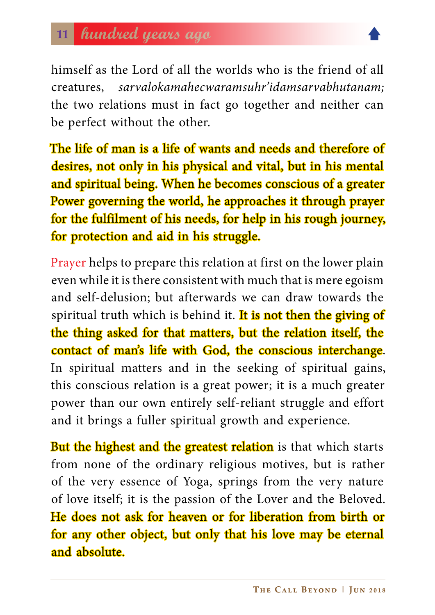himself as the Lord of all the worlds who is the friend of all creatures, *sarvalokamahecwaramsuhr'idamsarvabhutanam;* the two relations must in fact go together and neither can be perfect without the other.

The life of man is a life of wants and needs and therefore of desires, not only in his physical and vital, but in his mental and spiritual being. When he becomes conscious of a greater Power governing the world, he approaches it through prayer for the fulfilment of his needs, for help in his rough journey, for protection and aid in his struggle.

Prayer helps to prepare this relation at first on the lower plain even while it is there consistent with much that is mere egoism and self-delusion; but afterwards we can draw towards the spiritual truth which is behind it. It is not then the giving of the thing asked for that matters, but the relation itself, the contact of man's life with God, the conscious interchange. In spiritual matters and in the seeking of spiritual gains, this conscious relation is a great power; it is a much greater power than our own entirely self-reliant struggle and effort and it brings a fuller spiritual growth and experience.

**But the highest and the greatest relation** is that which starts from none of the ordinary religious motives, but is rather of the very essence of Yoga, springs from the very nature of love itself; it is the passion of the Lover and the Beloved. He does not ask for heaven or for liberation from birth or for any other object, but only that his love may be eternal and absolute.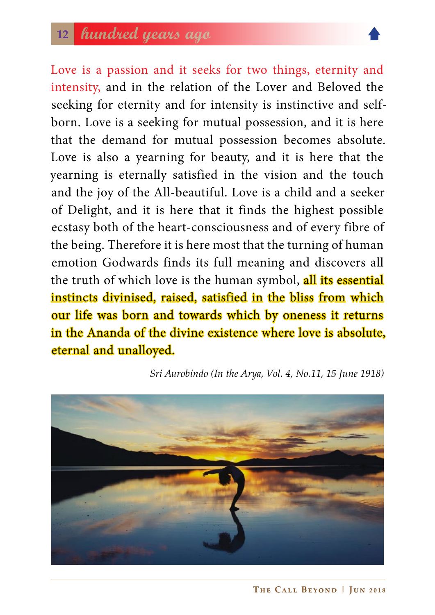# **<sup>12</sup> hundred years ago**



Love is a passion and it seeks for two things, eternity and intensity, and in the relation of the Lover and Beloved the seeking for eternity and for intensity is instinctive and selfborn. Love is a seeking for mutual possession, and it is here that the demand for mutual possession becomes absolute. Love is also a yearning for beauty, and it is here that the yearning is eternally satisfied in the vision and the touch and the joy of the All-beautiful. Love is a child and a seeker of Delight, and it is here that it finds the highest possible ecstasy both of the heart-consciousness and of every fibre of the being. Therefore it is here most that the turning of human emotion Godwards finds its full meaning and discovers all the truth of which love is the human symbol, all its essential instincts divinised, raised, satisfied in the bliss from which our life was born and towards which by oneness it returns in the Ananda of the divine existence where love is absolute, eternal and unalloyed.

 *Sri Aurobindo (In the Arya, Vol. 4, No.11, 15 June 1918)*

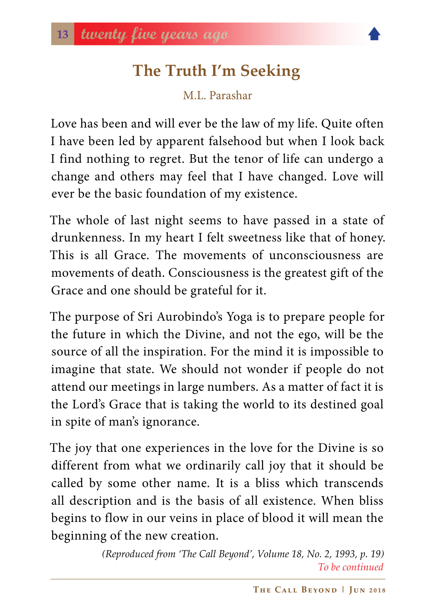# **The Truth I'm Seeking**

M.L. Parashar

<span id="page-12-0"></span>Love has been and will ever be the law of my life. Quite often I have been led by apparent falsehood but when I look back I find nothing to regret. But the tenor of life can undergo a change and others may feel that I have changed. Love will ever be the basic foundation of my existence.

The whole of last night seems to have passed in a state of drunkenness. In my heart I felt sweetness like that of honey. This is all Grace. The movements of unconsciousness are movements of death. Consciousness is the greatest gift of the Grace and one should be grateful for it.

The purpose of Sri Aurobindo's Yoga is to prepare people for the future in which the Divine, and not the ego, will be the source of all the inspiration. For the mind it is impossible to imagine that state. We should not wonder if people do not attend our meetings in large numbers. As a matter of fact it is the Lord's Grace that is taking the world to its destined goal in spite of man's ignorance.

The joy that one experiences in the love for the Divine is so different from what we ordinarily call joy that it should be called by some other name. It is a bliss which transcends all description and is the basis of all existence. When bliss begins to flow in our veins in place of blood it will mean the beginning of the new creation.

> *(Reproduced from 'The Call Beyond', Volume 18, No. 2, 1993, p. 19) To be continued*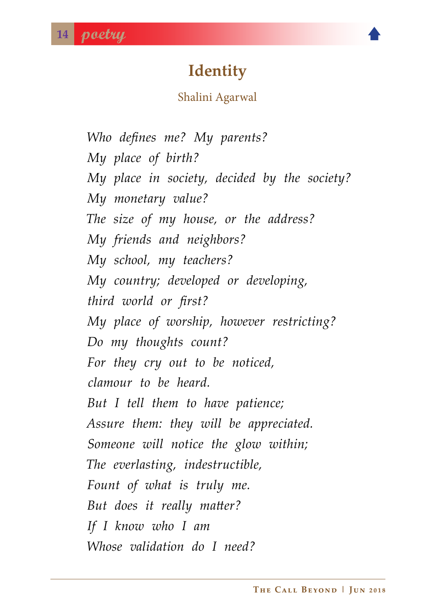# **Identity**

#### Shalini Agarwal

<span id="page-13-0"></span>*Who defines me? My parents? My place of birth? My place in society, decided by the society? My monetary value? The size of my house, or the address? My friends and neighbors? My school, my teachers? My country; developed or developing, third world or first? My place of worship, however restricting? Do my thoughts count? For they cry out to be noticed, clamour to be heard. But I tell them to have patience; Assure them: they will be appreciated. Someone will notice the glow within; The everlasting, indestructible, Fount of what is truly me. But does it really matter? If I know who I am Whose validation do I need?*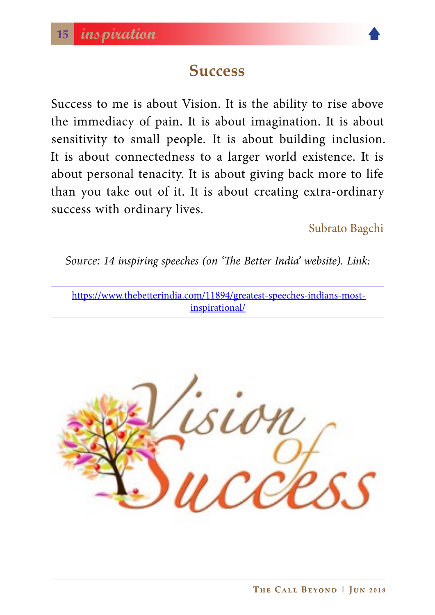

# **Success**

<span id="page-14-0"></span>Success to me is about Vision. It is the ability to rise above the immediacy of pain. It is about imagination. It is about sensitivity to small people. It is about building inclusion. It is about connectedness to a larger world existence. It is about personal tenacity. It is about giving back more to life than you take out of it. It is about creating extra-ordinary success with ordinary lives.

Subrato Bagchi

*Source: 14 inspiring speeches (on 'The Better India' website). Link:*

[https://www.thebetterindia.com/11894/greatest-speeches-indians-most](https://www.thebetterindia.com/11894/greatest-speeches-indians-most-inspirational/)[inspirational/](https://www.thebetterindia.com/11894/greatest-speeches-indians-most-inspirational/)

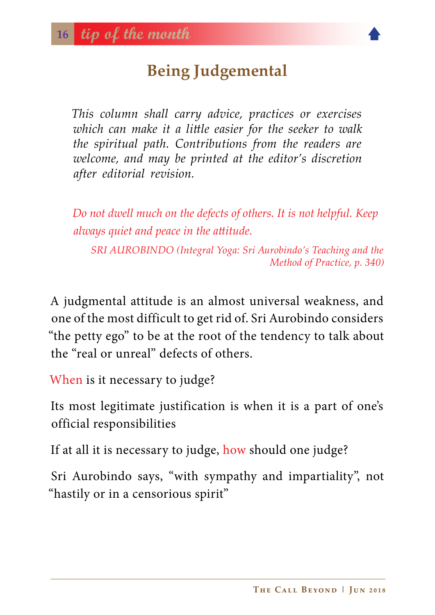# **Being Judgemental**

<span id="page-15-0"></span>*This column shall carry advice, practices or exercises which can make it a little easier for the seeker to walk the spiritual path. Contributions from the readers are welcome, and may be printed at the editor's discretion after editorial revision.*

*Do not dwell much on the defects of others. It is not helpful. Keep always quiet and peace in the attitude.*

*SRI AUROBINDO (Integral Yoga: Sri Aurobindo's Teaching and the Method of Practice, p. 340)*

A judgmental attitude is an almost universal weakness, and one of the most difficult to get rid of. Sri Aurobindo considers "the petty ego" to be at the root of the tendency to talk about the "real or unreal" defects of others.

When is it necessary to judge?

Its most legitimate justification is when it is a part of one's official responsibilities

If at all it is necessary to judge, how should one judge?

Sri Aurobindo says, "with sympathy and impartiality", not "hastily or in a censorious spirit"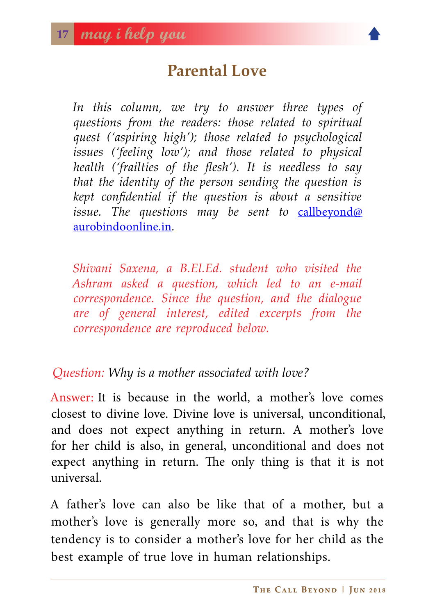# **Parental Love**

<span id="page-16-0"></span>*In this column, we try to answer three types of questions from the readers: those related to spiritual quest ('aspiring high'); those related to psychological issues ('feeling low'); and those related to physical health ('frailties of the flesh'). It is needless to say that the identity of the person sending the question is kept confidential if the question is about a sensitive*  issue. The questions may be sent to **[callbeyond@](callbeyond@aurobindoonline.in)** [aurobindoonline.in](callbeyond@aurobindoonline.in)*.*

*Shivani Saxena, a B.El.Ed. student who visited the Ashram asked a question, which led to an e-mail correspondence. Since the question, and the dialogue are of general interest, edited excerpts from the correspondence are reproduced below.* 

#### *Question: Why is a mother associated with love?*

Answer: It is because in the world, a mother's love comes closest to divine love. Divine love is universal, unconditional, and does not expect anything in return. A mother's love for her child is also, in general, unconditional and does not expect anything in return. The only thing is that it is not universal.

A father's love can also be like that of a mother, but a mother's love is generally more so, and that is why the tendency is to consider a mother's love for her child as the best example of true love in human relationships.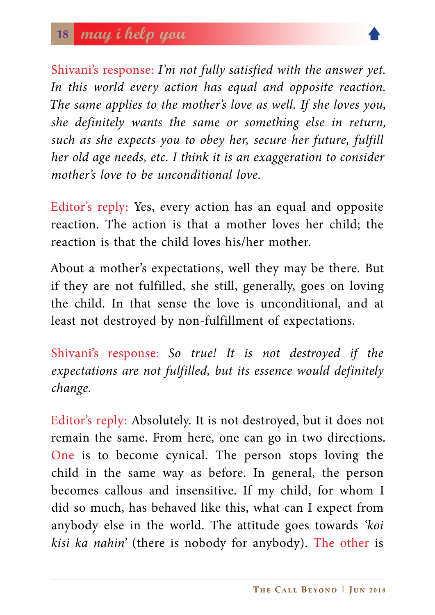

Shivani's response: *I'm not fully satisfied with the answer yet.*  In this world every action has equal and opposite reaction. *The same applies to the mother's love as well. If she loves you, she definitely wants the same or something else in return, such as she expects you to obey her, secure her future, fulfill her old age needs, etc. I think it is an exaggeration to consider mother's love to be unconditional love.*

Editor's reply: Yes, every action has an equal and opposite reaction. The action is that a mother loves her child; the reaction is that the child loves his/her mother.

About a mother's expectations, well they may be there. But if they are not fulfilled, she still, generally, goes on loving the child. In that sense the love is unconditional, and at least not destroyed by non-fulfillment of expectations.

Shivani's response: *So true! It is not destroyed if the expectations are not fulfilled, but its essence would definitely change.*

Editor's reply: Absolutely. It is not destroyed, but it does not remain the same. From here, one can go in two directions. One is to become cynical. The person stops loving the child in the same way as before. In general, the person becomes callous and insensitive. If my child, for whom I did so much, has behaved like this, what can I expect from anybody else in the world. The attitude goes towards *'koi kisi ka nahin'* (there is nobody for anybody). The other is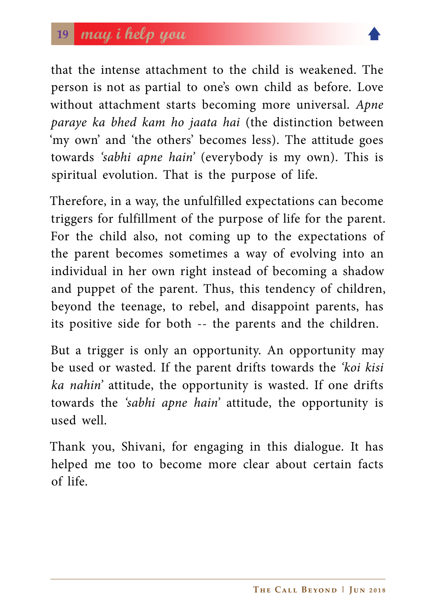

that the intense attachment to the child is weakened. The person is not as partial to one's own child as before. Love without attachment starts becoming more universal. *Apne paraye ka bhed kam ho jaata hai* (the distinction between 'my own' and 'the others' becomes less). The attitude goes towards *'sabhi apne hain'* (everybody is my own). This is spiritual evolution. That is the purpose of life.

Therefore, in a way, the unfulfilled expectations can become triggers for fulfillment of the purpose of life for the parent. For the child also, not coming up to the expectations of the parent becomes sometimes a way of evolving into an individual in her own right instead of becoming a shadow and puppet of the parent. Thus, this tendency of children, beyond the teenage, to rebel, and disappoint parents, has its positive side for both -- the parents and the children.

But a trigger is only an opportunity. An opportunity may be used or wasted. If the parent drifts towards the *'koi kisi ka nahin'* attitude, the opportunity is wasted. If one drifts towards the *'sabhi apne hain'* attitude, the opportunity is used well.

Thank you, Shivani, for engaging in this dialogue. It has helped me too to become more clear about certain facts of life.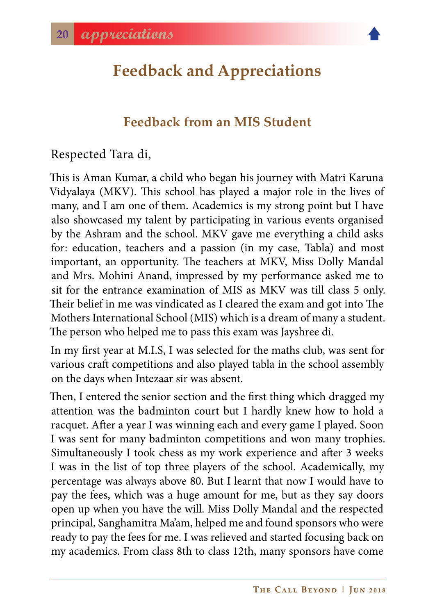<span id="page-19-0"></span>

#### **Feedback from an MIS Student**

Respected Tara di,

This is Aman Kumar, a child who began his journey with Matri Karuna Vidyalaya (MKV). This school has played a major role in the lives of many, and I am one of them. Academics is my strong point but I have also showcased my talent by participating in various events organised by the Ashram and the school. MKV gave me everything a child asks for: education, teachers and a passion (in my case, Tabla) and most important, an opportunity. The teachers at MKV, Miss Dolly Mandal and Mrs. Mohini Anand, impressed by my performance asked me to sit for the entrance examination of MIS as MKV was till class 5 only. Their belief in me was vindicated as I cleared the exam and got into The Mothers International School (MIS) which is a dream of many a student. The person who helped me to pass this exam was Jayshree di.

In my first year at M.I.S, I was selected for the maths club, was sent for various craft competitions and also played tabla in the school assembly on the days when Intezaar sir was absent.

Then, I entered the senior section and the first thing which dragged my attention was the badminton court but I hardly knew how to hold a racquet. After a year I was winning each and every game I played. Soon I was sent for many badminton competitions and won many trophies. Simultaneously I took chess as my work experience and after 3 weeks I was in the list of top three players of the school. Academically, my percentage was always above 80. But I learnt that now I would have to pay the fees, which was a huge amount for me, but as they say doors open up when you have the will. Miss Dolly Mandal and the respected principal, Sanghamitra Ma'am, helped me and found sponsors who were ready to pay the fees for me. I was relieved and started focusing back on my academics. From class 8th to class 12th, many sponsors have come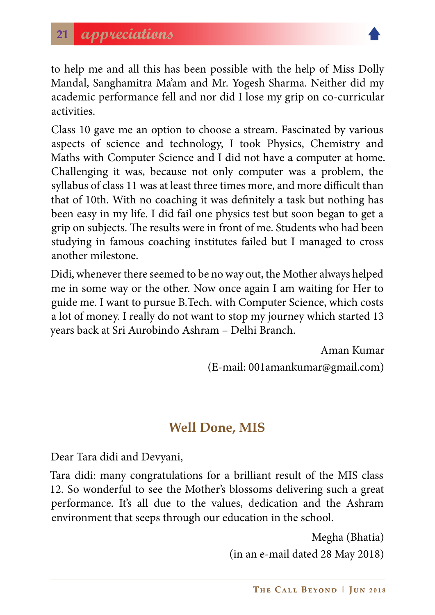

to help me and all this has been possible with the help of Miss Dolly Mandal, Sanghamitra Ma'am and Mr. Yogesh Sharma. Neither did my academic performance fell and nor did I lose my grip on co-curricular activities.

Class 10 gave me an option to choose a stream. Fascinated by various aspects of science and technology, I took Physics, Chemistry and Maths with Computer Science and I did not have a computer at home. Challenging it was, because not only computer was a problem, the syllabus of class 11 was at least three times more, and more difficult than that of 10th. With no coaching it was definitely a task but nothing has been easy in my life. I did fail one physics test but soon began to get a grip on subjects. The results were in front of me. Students who had been studying in famous coaching institutes failed but I managed to cross another milestone.

Didi, whenever there seemed to be no way out, the Mother always helped me in some way or the other. Now once again I am waiting for Her to guide me. I want to pursue B.Tech. with Computer Science, which costs a lot of money. I really do not want to stop my journey which started 13 years back at Sri Aurobindo Ashram – Delhi Branch.

> Aman Kumar (E-mail: 001amankumar@gmail.com)

#### **Well Done, MIS**

Dear Tara didi and Devyani,

Tara didi: many congratulations for a brilliant result of the MIS class 12. So wonderful to see the Mother's blossoms delivering such a great performance. It's all due to the values, dedication and the Ashram environment that seeps through our education in the school.

> Megha (Bhatia) (in an e-mail dated 28 May 2018)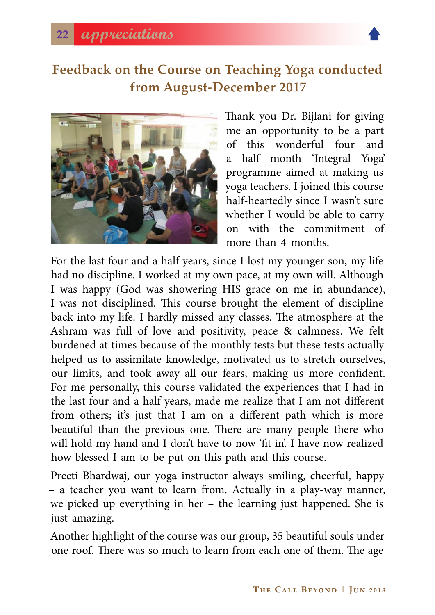

#### **Feedback on the Course on Teaching Yoga conducted from August-December 2017**



Thank you Dr. Bijlani for giving me an opportunity to be a part of this wonderful four and a half month 'Integral Yoga' programme aimed at making us yoga teachers. I joined this course half-heartedly since I wasn't sure whether I would be able to carry on with the commitment of more than 4 months.

For the last four and a half years, since I lost my younger son, my life had no discipline. I worked at my own pace, at my own will. Although I was happy (God was showering HIS grace on me in abundance), I was not disciplined. This course brought the element of discipline back into my life. I hardly missed any classes. The atmosphere at the Ashram was full of love and positivity, peace & calmness. We felt burdened at times because of the monthly tests but these tests actually helped us to assimilate knowledge, motivated us to stretch ourselves, our limits, and took away all our fears, making us more confident. For me personally, this course validated the experiences that I had in the last four and a half years, made me realize that I am not different from others; it's just that I am on a different path which is more beautiful than the previous one. There are many people there who will hold my hand and I don't have to now 'fit in'. I have now realized how blessed I am to be put on this path and this course.

Preeti Bhardwaj, our yoga instructor always smiling, cheerful, happy – a teacher you want to learn from. Actually in a play-way manner, we picked up everything in her – the learning just happened. She is just amazing.

Another highlight of the course was our group, 35 beautiful souls under one roof. There was so much to learn from each one of them. The age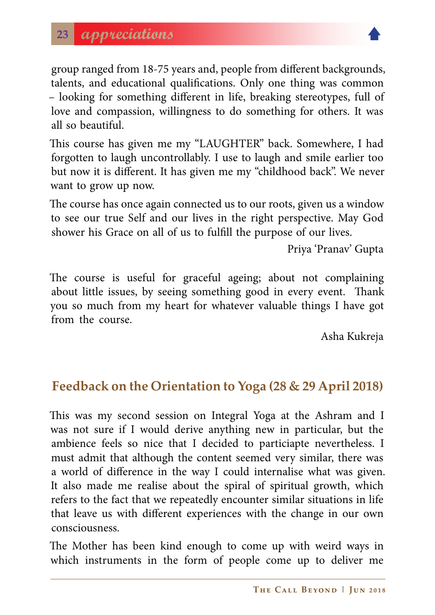

group ranged from 18-75 years and, people from different backgrounds, talents, and educational qualifications. Only one thing was common – looking for something different in life, breaking stereotypes, full of love and compassion, willingness to do something for others. It was all so beautiful.

This course has given me my "LAUGHTER" back. Somewhere, I had forgotten to laugh uncontrollably. I use to laugh and smile earlier too but now it is different. It has given me my "childhood back". We never want to grow up now.

The course has once again connected us to our roots, given us a window to see our true Self and our lives in the right perspective. May God shower his Grace on all of us to fulfill the purpose of our lives.

Priya 'Pranav' Gupta

The course is useful for graceful ageing; about not complaining about little issues, by seeing something good in every event. Thank you so much from my heart for whatever valuable things I have got from the course.

Asha Kukreja

#### **Feedback on the Orientation to Yoga (28 & 29 April 2018)**

This was my second session on Integral Yoga at the Ashram and I was not sure if I would derive anything new in particular, but the ambience feels so nice that I decided to particiapte nevertheless. I must admit that although the content seemed very similar, there was a world of difference in the way I could internalise what was given. It also made me realise about the spiral of spiritual growth, which refers to the fact that we repeatedly encounter similar situations in life that leave us with different experiences with the change in our own consciousness.

The Mother has been kind enough to come up with weird ways in which instruments in the form of people come up to deliver me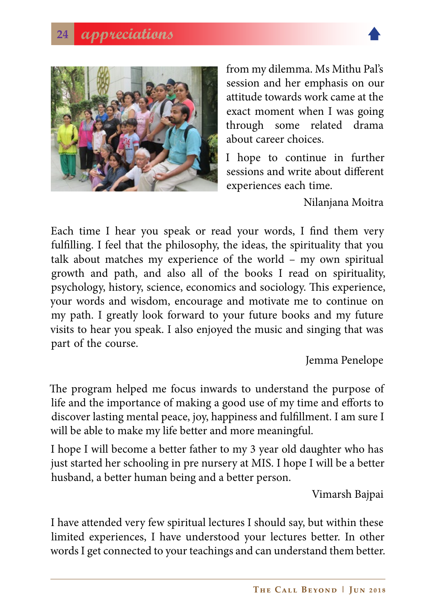

from my dilemma. Ms Mithu Pal's session and her emphasis on our attitude towards work came at the exact moment when I was going through some related drama about career choices.

I hope to continue in further sessions and write about different experiences each time.

Nilanjana Moitra

Each time I hear you speak or read your words, I find them very fulfilling. I feel that the philosophy, the ideas, the spirituality that you talk about matches my experience of the world – my own spiritual growth and path, and also all of the books I read on spirituality, psychology, history, science, economics and sociology. This experience, your words and wisdom, encourage and motivate me to continue on my path. I greatly look forward to your future books and my future visits to hear you speak. I also enjoyed the music and singing that was part of the course.

Jemma Penelope

The program helped me focus inwards to understand the purpose of life and the importance of making a good use of my time and efforts to discover lasting mental peace, joy, happiness and fulfillment. I am sure I will be able to make my life better and more meaningful.

I hope I will become a better father to my 3 year old daughter who has just started her schooling in pre nursery at MIS. I hope I will be a better husband, a better human being and a better person.

Vimarsh Bajpai

I have attended very few spiritual lectures I should say, but within these limited experiences, I have understood your lectures better. In other words I get connected to your teachings and can understand them better.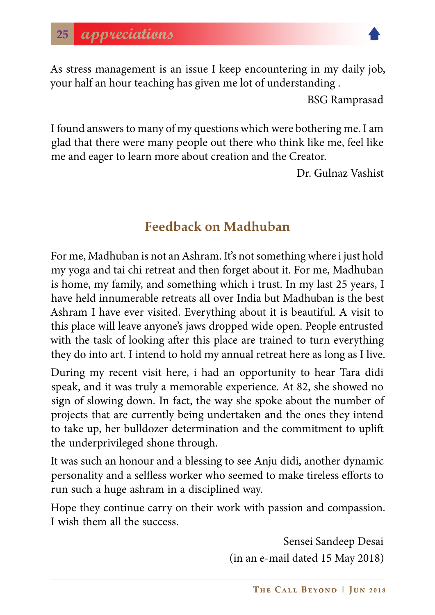

As stress management is an issue I keep encountering in my daily job, your half an hour teaching has given me lot of understanding .

BSG Ramprasad

I found answers to many of my questions which were bothering me. I am glad that there were many people out there who think like me, feel like me and eager to learn more about creation and the Creator.

Dr. Gulnaz Vashist

### **Feedback on Madhuban**

For me, Madhuban is not an Ashram. It's not something where i just hold my yoga and tai chi retreat and then forget about it. For me, Madhuban is home, my family, and something which i trust. In my last 25 years, I have held innumerable retreats all over India but Madhuban is the best Ashram I have ever visited. Everything about it is beautiful. A visit to this place will leave anyone's jaws dropped wide open. People entrusted with the task of looking after this place are trained to turn everything they do into art. I intend to hold my annual retreat here as long as I live.

During my recent visit here, i had an opportunity to hear Tara didi speak, and it was truly a memorable experience. At 82, she showed no sign of slowing down. In fact, the way she spoke about the number of projects that are currently being undertaken and the ones they intend to take up, her bulldozer determination and the commitment to uplift the underprivileged shone through.

It was such an honour and a blessing to see Anju didi, another dynamic personality and a selfless worker who seemed to make tireless efforts to run such a huge ashram in a disciplined way.

Hope they continue carry on their work with passion and compassion. I wish them all the success.

> Sensei Sandeep Desai (in an e-mail dated 15 May 2018)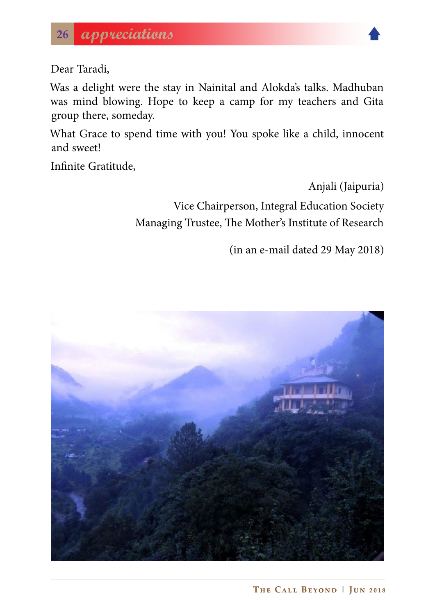

Dear Taradi,

Was a delight were the stay in Nainital and Alokda's talks. Madhuban was mind blowing. Hope to keep a camp for my teachers and Gita group there, someday.

What Grace to spend time with you! You spoke like a child, innocent and sweet!

Infinite Gratitude,

Anjali (Jaipuria)

Vice Chairperson, Integral Education Society Managing Trustee, The Mother's Institute of Research

(in an e-mail dated 29 May 2018)